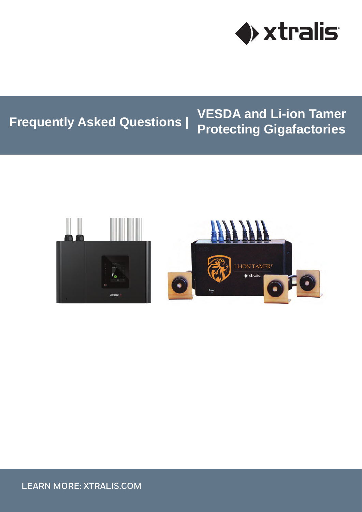

# **Frequently Asked Questions | VESDA and Li-ion Tamer Protecting Gigafactories**

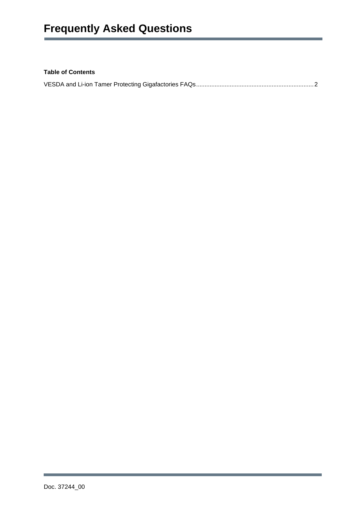# **Table of Contents**

|--|--|--|--|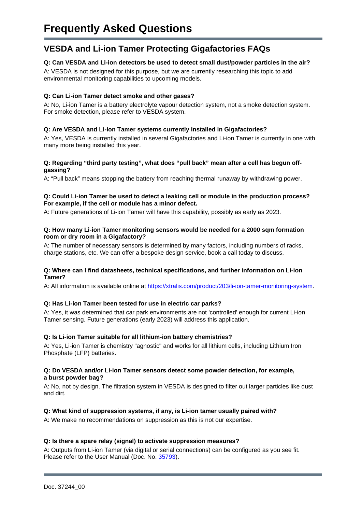# <span id="page-2-0"></span>**VESDA and Li-ion Tamer Protecting Gigafactories FAQs**

# **Q: Can VESDA and Li-ion detectors be used to detect small dust/powder particles in the air?**

A: VESDA is not designed for this purpose, but we are currently researching this topic to add environmental monitoring capabilities to upcoming models.

#### **Q: Can Li-ion Tamer detect smoke and other gases?**

A: No, Li-ion Tamer is a battery electrolyte vapour detection system, not a smoke detection system. For smoke detection, please refer to VESDA system.

### **Q: Are VESDA and Li-ion Tamer systems currently installed in Gigafactories?**

A: Yes, VESDA is currently installed in several Gigafactories and Li-ion Tamer is currently in one with many more being installed this year.

#### **Q: Regarding "third party testing", what does "pull back" mean after a cell has begun offgassing?**

A: "Pull back" means stopping the battery from reaching thermal runaway by withdrawing power.

#### **Q: Could Li-ion Tamer be used to detect a leaking cell or module in the production process? For example, if the cell or module has a minor defect.**

A: Future generations of Li-ion Tamer will have this capability, possibly as early as 2023.

#### **Q: How many Li-ion Tamer monitoring sensors would be needed for a 2000 sqm formation room or dry room in a Gigafactory?**

A: The number of necessary sensors is determined by many factors, including numbers of racks, charge stations, etc. We can offer a bespoke design service, book a call today to discuss.

#### **Q: Where can I find datasheets, technical specifications, and further information on Li-ion Tamer?**

A: All information is available online at [https://xtralis.com/product/203/li-ion-tamer-monitoring-system.](https://xtralis.com/product/203/li-ion-tamer-monitoring-system)

#### **Q: Has Li-ion Tamer been tested for use in electric car parks?**

A: Yes, it was determined that car park environments are not 'controlled' enough for current Li-ion Tamer sensing. Future generations (early 2023) will address this application.

#### **Q: Is Li-ion Tamer suitable for all lithium-ion battery chemistries?**

A: Yes, Li-ion Tamer is chemistry "agnostic" and works for all lithium cells, including Lithium Iron Phosphate (LFP) batteries.

#### **Q: Do VESDA and/or Li-ion Tamer sensors detect some powder detection, for example, a burst powder bag?**

A: No, not by design. The filtration system in VESDA is designed to filter out larger particles like dust and dirt.

#### **Q: What kind of suppression systems, if any, is Li-ion tamer usually paired with?**

A: We make no recommendations on suppression as this is not our expertise.

#### **Q: Is there a spare relay (signal) to activate suppression measures?**

A: Outputs from Li-ion Tamer (via digital or serial connections) can be configured as you see fit. Please refer to the User Manual (Doc. No. [35793\)](https://xtralis.com/file/10454).